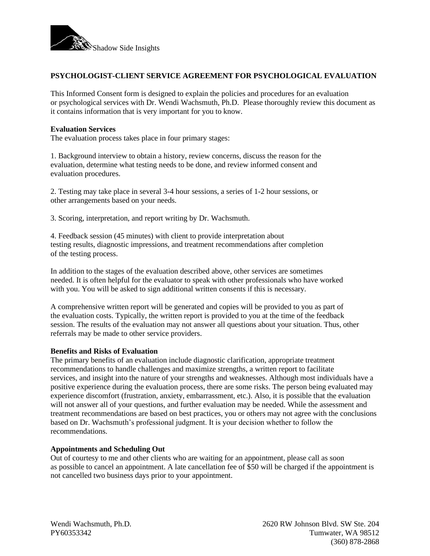

# **PSYCHOLOGIST-CLIENT SERVICE AGREEMENT FOR PSYCHOLOGICAL EVALUATION**

This Informed Consent form is designed to explain the policies and procedures for an evaluation or psychological services with Dr. Wendi Wachsmuth, Ph.D. Please thoroughly review this document as it contains information that is very important for you to know.

#### **Evaluation Services**

The evaluation process takes place in four primary stages:

1. Background interview to obtain a history, review concerns, discuss the reason for the evaluation, determine what testing needs to be done, and review informed consent and evaluation procedures.

2. Testing may take place in several 3-4 hour sessions, a series of 1-2 hour sessions, or other arrangements based on your needs.

3. Scoring, interpretation, and report writing by Dr. Wachsmuth.

4. Feedback session (45 minutes) with client to provide interpretation about testing results, diagnostic impressions, and treatment recommendations after completion of the testing process.

In addition to the stages of the evaluation described above, other services are sometimes needed. It is often helpful for the evaluator to speak with other professionals who have worked with you. You will be asked to sign additional written consents if this is necessary.

A comprehensive written report will be generated and copies will be provided to you as part of the evaluation costs. Typically, the written report is provided to you at the time of the feedback session. The results of the evaluation may not answer all questions about your situation. Thus, other referrals may be made to other service providers.

### **Benefits and Risks of Evaluation**

The primary benefits of an evaluation include diagnostic clarification, appropriate treatment recommendations to handle challenges and maximize strengths, a written report to facilitate services, and insight into the nature of your strengths and weaknesses. Although most individuals have a positive experience during the evaluation process, there are some risks. The person being evaluated may experience discomfort (frustration, anxiety, embarrassment, etc.). Also, it is possible that the evaluation will not answer all of your questions, and further evaluation may be needed. While the assessment and treatment recommendations are based on best practices, you or others may not agree with the conclusions based on Dr. Wachsmuth's professional judgment. It is your decision whether to follow the recommendations.

### **Appointments and Scheduling Out**

Out of courtesy to me and other clients who are waiting for an appointment, please call as soon as possible to cancel an appointment. A late cancellation fee of \$50 will be charged if the appointment is not cancelled two business days prior to your appointment.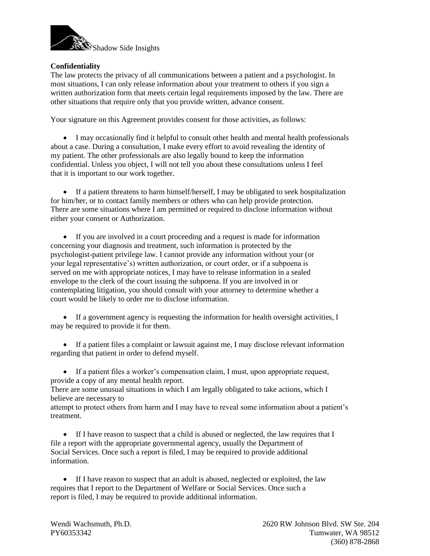

# **Confidentiality**

The law protects the privacy of all communications between a patient and a psychologist. In most situations, I can only release information about your treatment to others if you sign a written authorization form that meets certain legal requirements imposed by the law. There are other situations that require only that you provide written, advance consent.

Your signature on this Agreement provides consent for those activities, as follows:

• I may occasionally find it helpful to consult other health and mental health professionals about a case. During a consultation, I make every effort to avoid revealing the identity of my patient. The other professionals are also legally bound to keep the information confidential. Unless you object, I will not tell you about these consultations unless I feel that it is important to our work together.

• If a patient threatens to harm himself/herself, I may be obligated to seek hospitalization for him/her, or to contact family members or others who can help provide protection. There are some situations where I am permitted or required to disclose information without either your consent or Authorization.

• If you are involved in a court proceeding and a request is made for information concerning your diagnosis and treatment, such information is protected by the psychologist-patient privilege law. I cannot provide any information without your (or your legal representative's) written authorization, or court order, or if a subpoena is served on me with appropriate notices, I may have to release information in a sealed envelope to the clerk of the court issuing the subpoena. If you are involved in or contemplating litigation, you should consult with your attorney to determine whether a court would be likely to order me to disclose information.

• If a government agency is requesting the information for health oversight activities, I may be required to provide it for them.

• If a patient files a complaint or lawsuit against me, I may disclose relevant information regarding that patient in order to defend myself.

• If a patient files a worker's compensation claim, I must, upon appropriate request, provide a copy of any mental health report.

There are some unusual situations in which I am legally obligated to take actions, which I believe are necessary to

attempt to protect others from harm and I may have to reveal some information about a patient's treatment.

• If I have reason to suspect that a child is abused or neglected, the law requires that I file a report with the appropriate governmental agency, usually the Department of Social Services. Once such a report is filed, I may be required to provide additional information.

• If I have reason to suspect that an adult is abused, neglected or exploited, the law requires that I report to the Department of Welfare or Social Services. Once such a report is filed, I may be required to provide additional information.